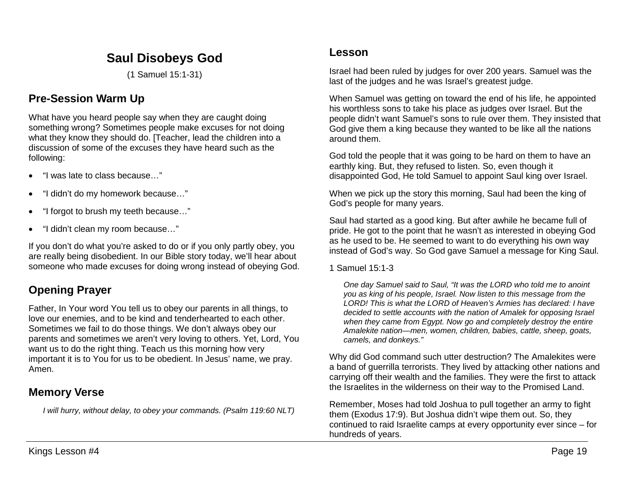# **Saul Disobeys God**

(1 Samuel 15:1-31)

## **Pre-Session Warm Up**

What have you heard people say when they are caught doing something wrong? Sometimes people make excuses for not doing what they know they should do. [Teacher, lead the children into a discussion of some of the excuses they have heard such as the following:

- "I was late to class because…"
- "I didn't do my homework because…"
- "I forgot to brush my teeth because…"
- "I didn't clean my room because…"

If you don't do what you're asked to do or if you only partly obey, you are really being disobedient. In our Bible story today, we'll hear about someone who made excuses for doing wrong instead of obeying God.

# **Opening Prayer**

Father, In Your word You tell us to obey our parents in all things, to love our enemies, and to be kind and tenderhearted to each other. Sometimes we fail to do those things. We don't always obey our parents and sometimes we aren't very loving to others. Yet, Lord, You want us to do the right thing. Teach us this morning how very important it is to You for us to be obedient. In Jesus' name, we pray. Amen.

## **Memory Verse**

*I will hurry, without delay, to obey your commands. (Psalm 119:60 NLT)*

### **Lesson**

Israel had been ruled by judges for over 200 years. Samuel was the last of the judges and he was Israel's greatest judge.

When Samuel was getting on toward the end of his life, he appointed his worthless sons to take his place as judges over Israel. But the people didn't want Samuel's sons to rule over them. They insisted that God give them a king because they wanted to be like all the nations around them.

God told the people that it was going to be hard on them to have an earthly king. But, they refused to listen. So, even though it disappointed God, He told Samuel to appoint Saul king over Israel.

When we pick up the story this morning, Saul had been the king of God's people for many years.

Saul had started as a good king. But after awhile he became full of pride. He got to the point that he wasn't as interested in obeying God as he used to be. He seemed to want to do everything his own way instead of God's way. So God gave Samuel a message for King Saul.

1 Samuel 15:1-3

*One day Samuel said to Saul, "It was the LORD who told me to anoint you as king of his people, Israel. Now listen to this message from the LORD! This is what the LORD of Heaven's Armies has declared: I have decided to settle accounts with the nation of Amalek for opposing Israel when they came from Egypt. Now go and completely destroy the entire Amalekite nation—men, women, children, babies, cattle, sheep, goats, camels, and donkeys."* 

Why did God command such utter destruction? The Amalekites were a band of guerrilla terrorists. They lived by attacking other nations and carrying off their wealth and the families. They were the first to attack the Israelites in the wilderness on their way to the Promised Land.

Remember, Moses had told Joshua to pull together an army to fight them (Exodus 17:9). But Joshua didn't wipe them out. So, they continued to raid Israelite camps at every opportunity ever since – for hundreds of years.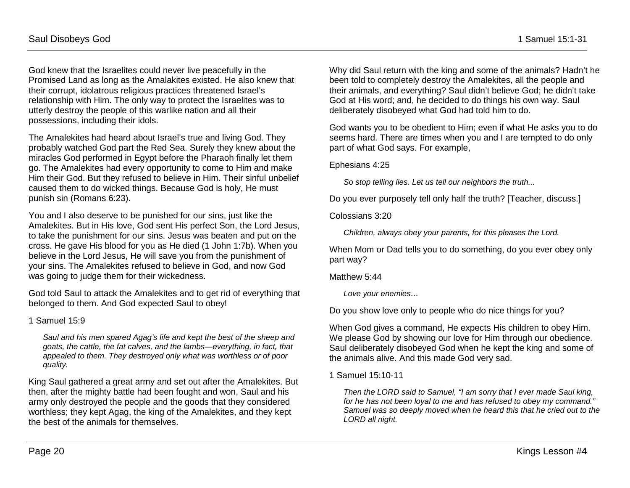God knew that the Israelites could never live peacefully in the Promised Land as long as the Amalakites existed. He also knew that their corrupt, idolatrous religious practices threatened Israel's relationship with Him. The only way to protect the Israelites was to utterly destroy the people of this warlike nation and all their possessions, including their idols.

The Amalekites had heard about Israel's true and living God. They probably watched God part the Red Sea. Surely they knew about the miracles God performed in Egypt before the Pharaoh finally let them go. The Amalekites had every opportunity to come to Him and make Him their God. But they refused to believe in Him. Their sinful unbelief caused them to do wicked things. Because God is holy, He must punish sin (Romans 6:23).

You and I also deserve to be punished for our sins, just like the Amalekites. But in His love, God sent His perfect Son, the Lord Jesus, to take the punishment for our sins. Jesus was beaten and put on the cross. He gave His blood for you as He died (1 John 1:7b). When you believe in the Lord Jesus, He will save you from the punishment of your sins. The Amalekites refused to believe in God, and now God was going to judge them for their wickedness.

God told Saul to attack the Amalekites and to get rid of everything that belonged to them. And God expected Saul to obey!

#### 1 Samuel 15:9

*Saul and his men spared Agag's life and kept the best of the sheep and goats, the cattle, the fat calves, and the lambs—everything, in fact, that appealed to them. They destroyed only what was worthless or of poor quality.*

King Saul gathered a great army and set out after the Amalekites. But then, after the mighty battle had been fought and won, Saul and his army only destroyed the people and the goods that they considered worthless; they kept Agag, the king of the Amalekites, and they kept the best of the animals for themselves.

Why did Saul return with the king and some of the animals? Hadn't he been told to completely destroy the Amalekites, all the people and their animals, and everything? Saul didn't believe God; he didn't take God at His word; and, he decided to do things his own way. Saul deliberately disobeyed what God had told him to do.

God wants you to be obedient to Him; even if what He asks you to do seems hard. There are times when you and I are tempted to do only part of what God says. For example,

#### Ephesians 4:25

*So stop telling lies. Let us tell our neighbors the truth...*

Do you ever purposely tell only half the truth? [Teacher, discuss.]

Colossians 3:20

*Children, always obey your parents, for this pleases the Lord.*

When Mom or Dad tells you to do something, do you ever obey only part way?

Matthew 5:44

*Love your enemies…*

Do you show love only to people who do nice things for you?

When God gives a command, He expects His children to obey Him. We please God by showing our love for Him through our obedience. Saul deliberately disobeyed God when he kept the king and some of the animals alive. And this made God very sad.

1 Samuel 15:10-11

*Then the LORD said to Samuel, "I am sorry that I ever made Saul king, for he has not been loyal to me and has refused to obey my command." Samuel was so deeply moved when he heard this that he cried out to the LORD all night.*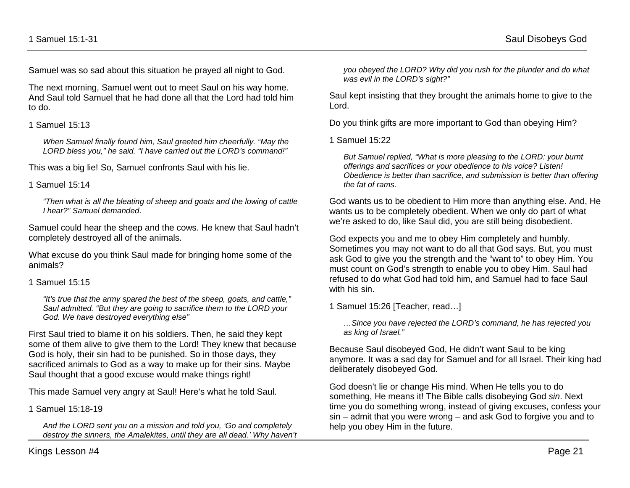Samuel was so sad about this situation he prayed all night to God.

The next morning, Samuel went out to meet Saul on his way home. And Saul told Samuel that he had done all that the Lord had told him to do.

1 Samuel 15:13

*When Samuel finally found him, Saul greeted him cheerfully. "May the LORD bless you," he said. "I have carried out the LORD's command!"*

This was a big lie! So, Samuel confronts Saul with his lie.

1 Samuel 15:14

*"Then what is all the bleating of sheep and goats and the lowing of cattle I hear?" Samuel demanded*.

Samuel could hear the sheep and the cows. He knew that Saul hadn't completely destroyed all of the animals.

What excuse do you think Saul made for bringing home some of the animals?

1 Samuel 15:15

*"It's true that the army spared the best of the sheep, goats, and cattle," Saul admitted. "But they are going to sacrifice them to the LORD your God. We have destroyed everything else"*

First Saul tried to blame it on his soldiers. Then, he said they kept some of them alive to give them to the Lord! They knew that because God is holy, their sin had to be punished. So in those days, they sacrificed animals to God as a way to make up for their sins. Maybe Saul thought that a good excuse would make things right!

This made Samuel very angry at Saul! Here's what he told Saul.

1 Samuel 15:18-19

*And the LORD sent you on a mission and told you, 'Go and completely destroy the sinners, the Amalekites, until they are all dead.' Why haven't*  *you obeyed the LORD? Why did you rush for the plunder and do what was evil in the LORD's sight?"*

Saul kept insisting that they brought the animals home to give to the Lord.

Do you think gifts are more important to God than obeying Him?

1 Samuel 15:22

*But Samuel replied, "What is more pleasing to the LORD: your burnt offerings and sacrifices or your obedience to his voice? Listen! Obedience is better than sacrifice, and submission is better than offering the fat of rams.*

God wants us to be obedient to Him more than anything else. And, He wants us to be completely obedient. When we only do part of what we're asked to do, like Saul did, you are still being disobedient.

God expects you and me to obey Him completely and humbly. Sometimes you may not want to do all that God says. But, you must ask God to give you the strength and the "want to" to obey Him. You must count on God's strength to enable you to obey Him. Saul had refused to do what God had told him, and Samuel had to face Saul with his sin.

1 Samuel 15:26 [Teacher, read…]

*…Since you have rejected the LORD's command, he has rejected you as king of Israel."* 

Because Saul disobeyed God, He didn't want Saul to be king anymore. It was a sad day for Samuel and for all Israel. Their king had deliberately disobeyed God.

God doesn't lie or change His mind. When He tells you to do something, He means it! The Bible calls disobeying God *sin*. Next time you do something wrong, instead of giving excuses, confess your sin – admit that you were wrong – and ask God to forgive you and to help you obey Him in the future.